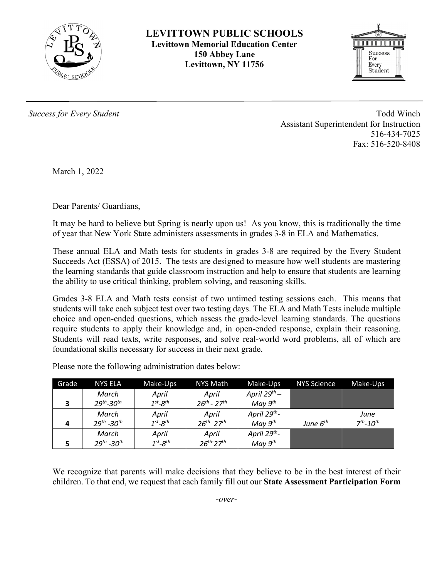

**LEVITTOWN PUBLIC SCHOOLS Levittown Memorial Education Center 150 Abbey Lane Levittown, NY 11756**



*Success for Every Student* Todd Winch Assistant Superintendent for Instruction 516-434-7025 Fax: 516-520-8408

March 1, 2022

Dear Parents/ Guardians,

It may be hard to believe but Spring is nearly upon us! As you know, this is traditionally the time of year that New York State administers assessments in grades 3-8 in ELA and Mathematics.

These annual ELA and Math tests for students in grades 3-8 are required by the Every Student Succeeds Act (ESSA) of 2015. The tests are designed to measure how well students are mastering the learning standards that guide classroom instruction and help to ensure that students are learning the ability to use critical thinking, problem solving, and reasoning skills.

Grades 3-8 ELA and Math tests consist of two untimed testing sessions each. This means that students will take each subject test over two testing days. The ELA and Math Tests include multiple choice and open-ended questions, which assess the grade-level learning standards. The questions require students to apply their knowledge and, in open-ended response, explain their reasoning. Students will read texts, write responses, and solve real-world word problems, all of which are foundational skills necessary for success in their next grade.

| Grade | <b>NYS ELA</b>              | Make-Ups                  | NYS Math                    | Make-Ups                 | <b>NYS Science</b> | Make-Ups     |
|-------|-----------------------------|---------------------------|-----------------------------|--------------------------|--------------------|--------------|
|       | March                       | April                     | April                       | April 29 <sup>th</sup> – |                    |              |
| ∍     | $29^{th} - 30^{th}$         | $1^{st}$ -8 <sup>th</sup> | $26^{th} - 27^{th}$         | May $9^{th}$             |                    |              |
|       | March                       | April                     | April                       | April 29th-              |                    | June         |
| 4     | $29^{th}$ -30 <sup>th</sup> | $1^{st}$ - $8^{th}$       | $26^{th}$ $27^{th}$         | May $9^{th}$             | June $6th$         | $7th - 10th$ |
|       | March                       | April                     | April                       | April 29 <sup>th</sup> - |                    |              |
| Е     | $29^{th}$ -30 <sup>th</sup> | $1^{st}$ - $8^{th}$       | $26^{th}$ -27 <sup>th</sup> | May $9^{th}$             |                    |              |

Please note the following administration dates below:

We recognize that parents will make decisions that they believe to be in the best interest of their children. To that end, we request that each family fill out our **State Assessment Participation Form**